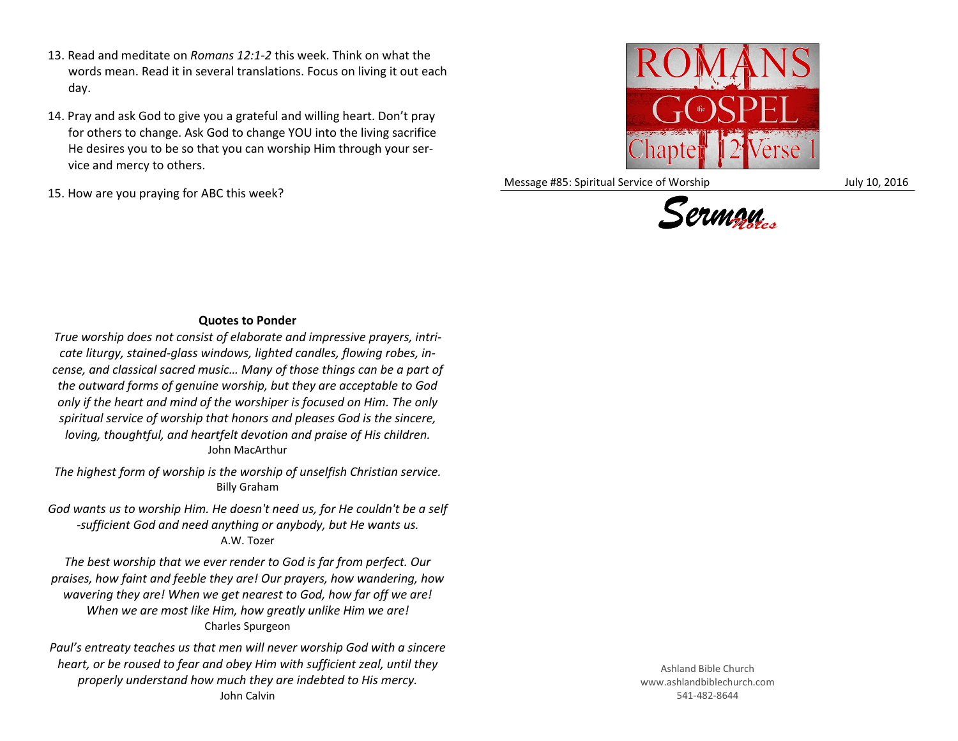- 13. Read and meditate on *Romans 12:1-2* this week. Think on what the words mean. Read it in several translations. Focus on living it out each day.
- 14. Pray and ask God to give you a grateful and willing heart. Don't pray for others to change. Ask God to change YOU into the living sacrifice He desires you to be so that you can worship Him through your service and mercy to others.
- 15. How are you praying for ABC this week?



Message #85: Spiritual Service of Worship July 10, 2016



## **Quotes to Ponder**

*True worship does not consist of elaborate and impressive prayers, intricate liturgy, stained-glass windows, lighted candles, flowing robes, incense, and classical sacred music… Many of those things can be a part of the outward forms of genuine worship, but they are acceptable to God only if the heart and mind of the worshiper is focused on Him. The only spiritual service of worship that honors and pleases God is the sincere, loving, thoughtful, and heartfelt devotion and praise of His children.* John MacArthur

*The highest form of worship is the worship of unselfish Christian service.* Billy Graham

*God wants us to worship Him. He doesn't need us, for He couldn't be a self -sufficient God and need anything or anybody, but He wants us.* A.W. Tozer

*The best worship that we ever render to God is far from perfect. Our praises, how faint and feeble they are! Our prayers, how wandering, how wavering they are! When we get nearest to God, how far off we are! When we are most like Him, how greatly unlike Him we are!* Charles Spurgeon

*Paul's entreaty teaches us that men will never worship God with a sincere heart, or be roused to fear and obey Him with sufficient zeal, until they properly understand how much they are indebted to His mercy.* John Calvin

Ashland Bible Church www.ashlandbiblechurch.com 541-482-8644